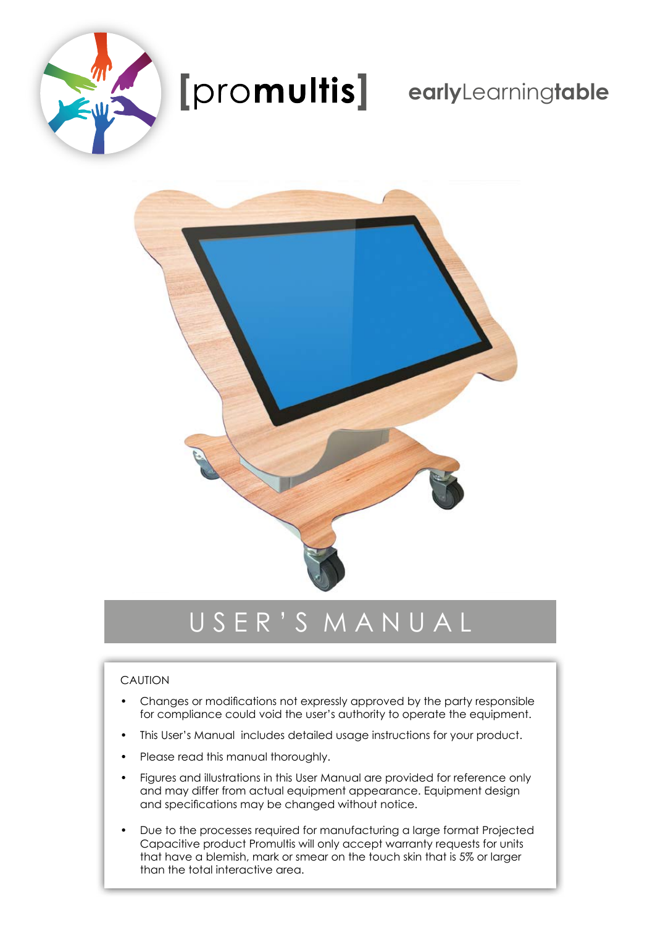

# **early**Learning**table**



# U S E R ' S M A N U A L

#### CAUTION

- Changes or modifications not expressly approved by the party responsible for compliance could void the user's authority to operate the equipment.
- This User's Manual includes detailed usage instructions for your product.
- Please read this manual thoroughly.
- Figures and illustrations in this User Manual are provided for reference only and may differ from actual equipment appearance. Equipment design and specifications may be changed without notice.
- Due to the processes required for manufacturing a large format Projected Capacitive product Promultis will only accept warranty requests for units that have a blemish, mark or smear on the touch skin that is 5% or larger than the total interactive area.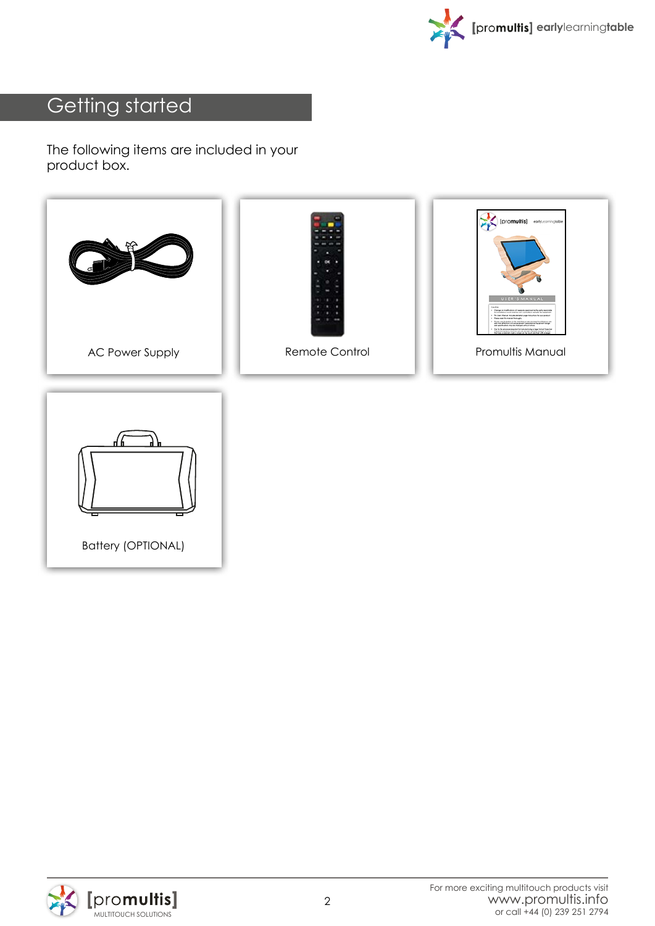

## Getting started

The following items are included in your product box.





Battery (OPTIONAL)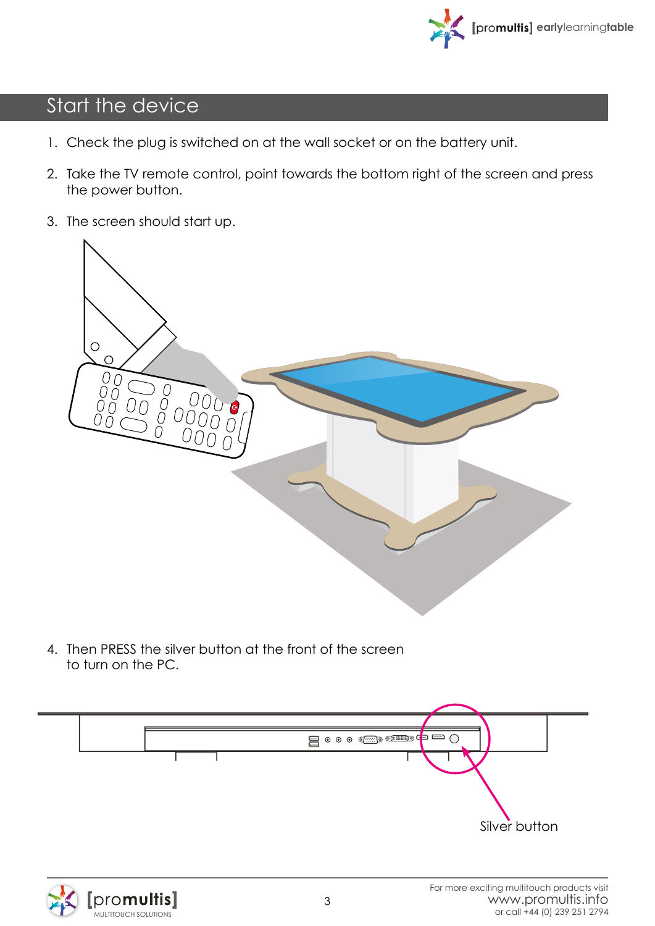

## Start the device

- 1. Check the plug is switched on at the wall socket or on the battery unit.
- 2. Take the TV remote control, point towards the bottom right of the screen and press the power button.
- 3. The screen should start up.



4. Then PRESS the silver button at the front of the screen to turn on the PC.



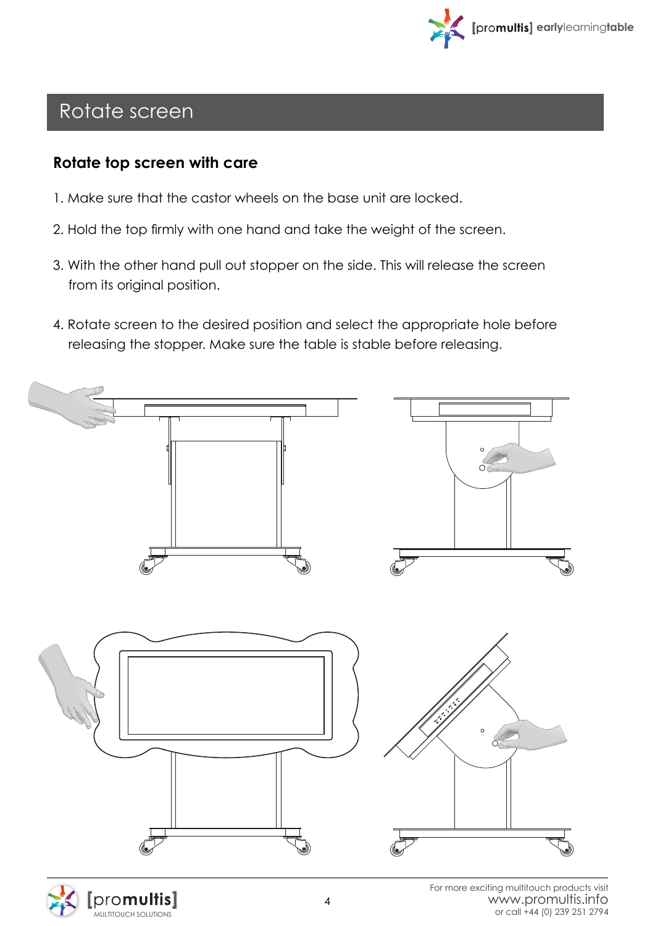

#### Rotate screen

promultis

#### **Rotate top screen with care**

- 1. Make sure that the castor wheels on the base unit are locked.
- 2. Hold the top firmly with one hand and take the weight of the screen.
- 3. With the other hand pull out stopper on the side. This will release the screen from its original position.
- 4. Rotate screen to the desired position and select the appropriate hole before releasing the stopper. Make sure the table is stable before releasing.

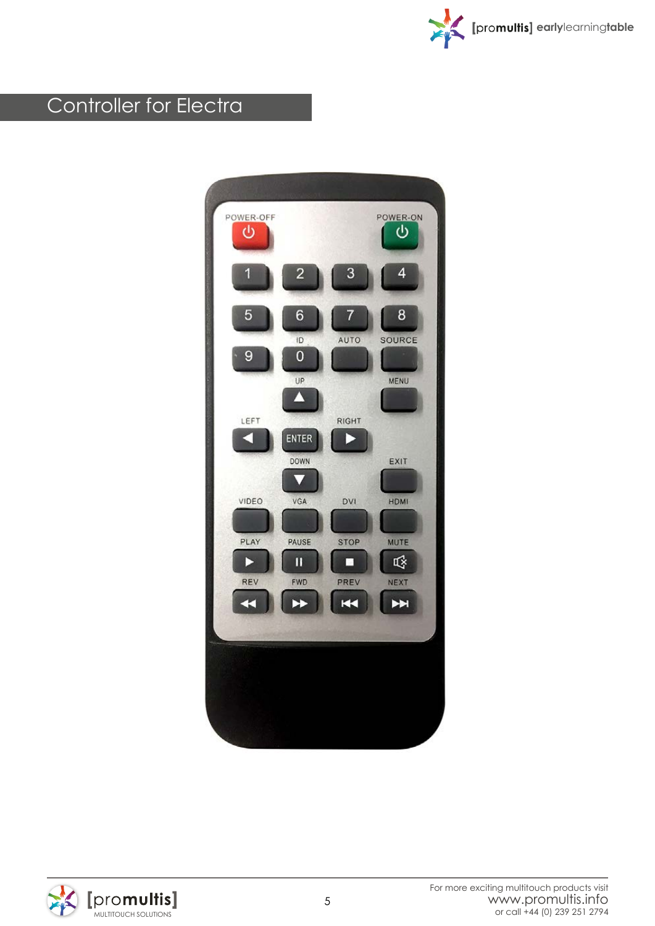

## Controller for Electra



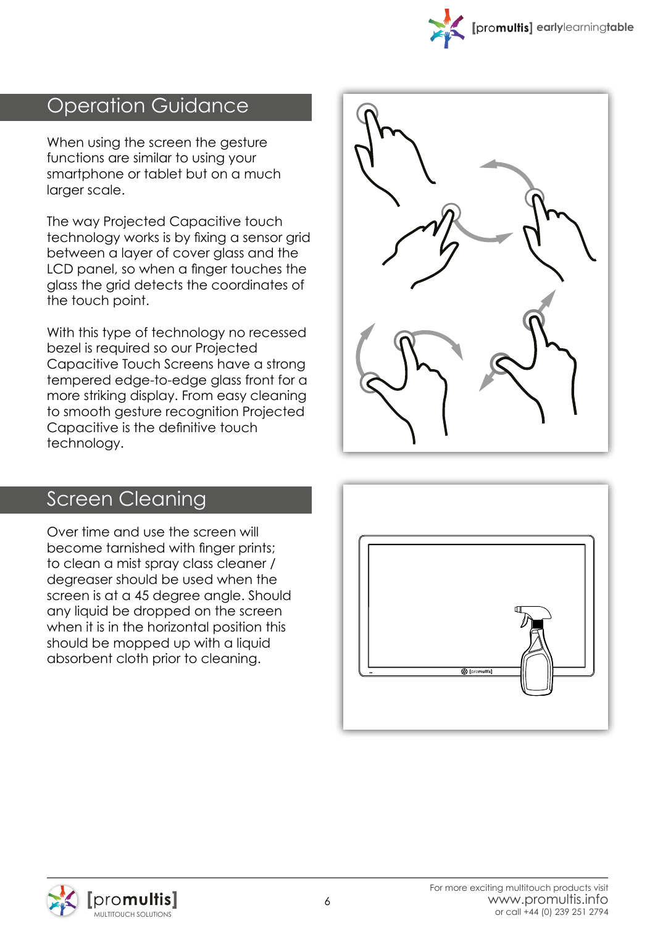

### Operation Guidance

When using the screen the gesture functions are similar to using your smartphone or tablet but on a much larger scale.

The way Projected Capacitive touch technology works is by fixing a sensor grid between a layer of cover glass and the LCD panel, so when a finger touches the glass the grid detects the coordinates of the touch point.

With this type of technology no recessed bezel is required so our Projected Capacitive Touch Screens have a strong tempered edge-to-edge glass front for a more striking display. From easy cleaning to smooth gesture recognition Projected Capacitive is the definitive touch technology.



#### Screen Cleaning

Over time and use the screen will become tarnished with finger prints; to clean a mist spray class cleaner / degreaser should be used when the screen is at a 45 degree angle. Should any liquid be dropped on the screen when it is in the horizontal position this should be mopped up with a liquid absorbent cloth prior to cleaning.



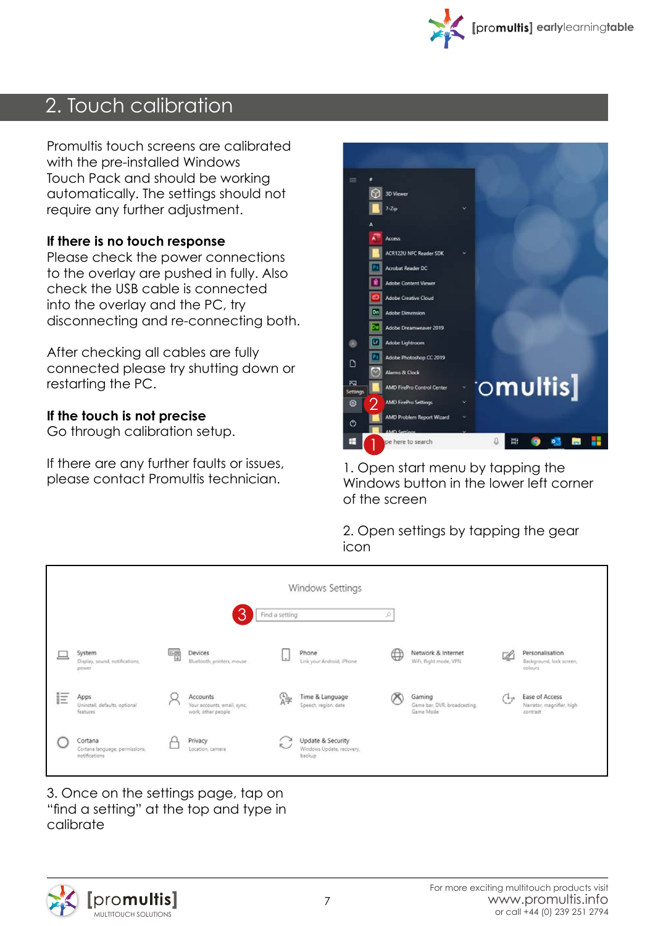

### 2. Touch calibration

Promultis touch screens are calibrated with the pre-installed Windows Touch Pack and should be working automatically. The settings should not require any further adjustment.

#### **If there is no touch response**

Please check the power connections to the overlay are pushed in fully. Also check the USB cable is connected into the overlay and the PC, try disconnecting and re-connecting both.

After checking all cables are fully connected please try shutting down or restarting the PC.

#### **If the touch is not precise**

Go through calibration setup.

If there are any further faults or issues, please contact Promultis technician.



1. Open start menu by tapping the Windows button in the lower left corner of the screen

2. Open settings by tapping the gear icon

|   |                                                            |   |                                                               |                |    | Windows Settings                                         |                      |                                                     |                   |                                                         |
|---|------------------------------------------------------------|---|---------------------------------------------------------------|----------------|----|----------------------------------------------------------|----------------------|-----------------------------------------------------|-------------------|---------------------------------------------------------|
|   |                                                            |   | З                                                             | Find a setting |    |                                                          | P                    |                                                     |                   |                                                         |
|   | System<br>Display, sound, notifications,<br>power          | ᄩ | Devices<br>Bluetooth, printers, mouse                         |                |    | Phone<br>Link your Android, iPhone                       | $\oplus$             | Network & Internet<br>WiFi, flight mode, VPN        | $\neg$            | Personalisation<br>Background, lock screen,<br>colours  |
| 巨 | Apps<br>Uninstall, defaults, optional<br>features          |   | Accounts<br>Your accounts, email, sync,<br>work, other people |                | 踭  | Time & Language<br>Speech, region, date                  | $\scriptstyle\gamma$ | Gaming<br>Game bar, DVR, broadcasting,<br>Game Mode | $( + \rightarrow$ | Ease of Access<br>Narrator, magnifier, high<br>contrast |
|   | Cortana<br>Cortana language, permissions,<br>notifications |   | Privacy<br>Location, camera                                   |                | R) | Update & Security<br>Windows Update, recovery,<br>backup |                      |                                                     |                   |                                                         |

3. Once on the settings page, tap on "find a setting" at the top and type in calibrate

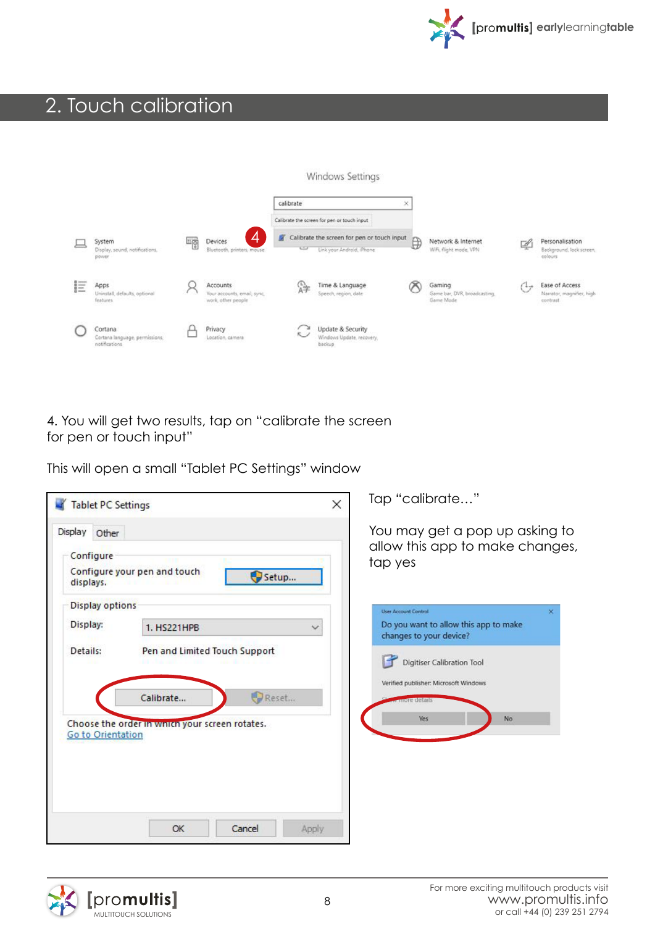

## 2. Touch calibration

|    |                                           |    |                                                   |                                                  | Windows Settings                               |   |                                           |     |                                       |
|----|-------------------------------------------|----|---------------------------------------------------|--------------------------------------------------|------------------------------------------------|---|-------------------------------------------|-----|---------------------------------------|
|    |                                           |    |                                                   | calibrate                                        | ×                                              |   |                                           |     |                                       |
|    |                                           |    |                                                   | Calibrate the screen for pen or touch input      |                                                |   |                                           |     |                                       |
|    | System                                    |    | 4<br>Devices                                      | 雪<br>Calibrate the screen for pen or touch input |                                                | ₿ | Network & Internet                        | 嚠   | Personalisation                       |
|    | Display, sound, notifications.<br>power   | L6 | Bluetooth, printers, mouse                        | $\overline{a}$                                   | Link your Android, iPhone                      |   | WiFi, flight mode, VPN                    |     | Background, lock screen,<br>colours   |
| IΞ | Apps                                      |    | Accounts                                          | 砕                                                | Time & Language                                | O | Gaming                                    | $+$ | Ease of Access                        |
|    | Uninstall, defaults, optional<br>features |    | Your accounts, email, sync.<br>work, other people |                                                  | Speech, region, date                           |   | Game bar, DVR, broadcasting,<br>Game Mode |     | Narrator, magnifier, high<br>contrast |
|    | Cortana<br>Cortana language, permissions, |    | Privacy<br>Location, camera                       | $\sim$ 200<br>$\sim$                             | Update & Security<br>Windows Update, recovery, |   |                                           |     |                                       |
|    | notifications                             |    |                                                   |                                                  | backup.                                        |   |                                           |     |                                       |

4. You will get two results, tap on "calibrate the screen for pen or touch input"

This will open a small "Tablet PC Settings" window

| You may get a pop up asking to<br>allow this app to make changes,<br>tap yes |
|------------------------------------------------------------------------------|
|                                                                              |
| <b>User Account Control</b><br>×<br>Do you want to allow this app to make    |
| changes to your device?                                                      |
| Digitiser Calibration Tool<br>Verified publisher: Microsoft Windows          |
| nore details<br><b>Yes</b><br>No                                             |
|                                                                              |
|                                                                              |
|                                                                              |
|                                                                              |